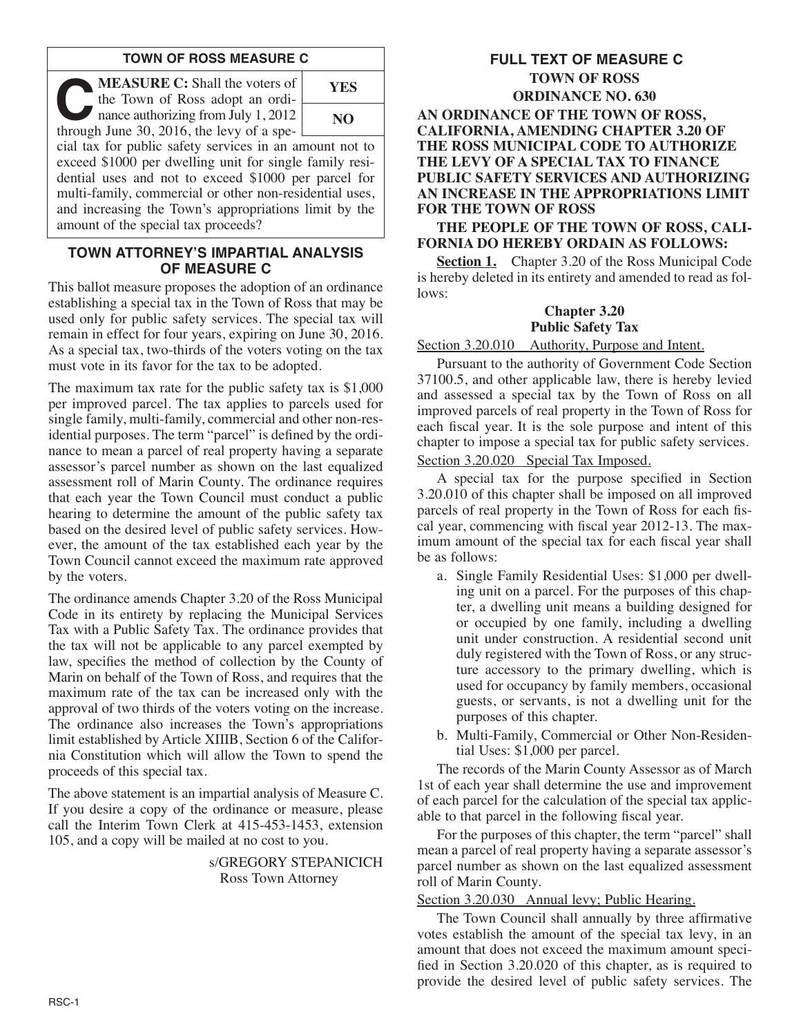## **TOWN OF ROSS MEASURE C**

**C:** Shall the voters of<br>the Town of Ross adopt an ordinance authorizing from July 1, 2012<br>through June 30, 2016, the levy of a spethe Town of Ross adopt an ordithrough June 30, 2016, the levy of a spe-



cial tax for public safety services in an amount not to exceed \$1000 per dwelling unit for single family residential uses and not to exceed \$1000 per parcel for multi-family, commercial or other non-residential uses, and increasing the Town's appropriations limit by the amount of the special tax proceeds?

### **TOWN ATTORNEY'S IMPARTIAL ANALYSIS OF MEASURE C**

This ballot measure proposes the adoption of an ordinance establishing a special tax in the Town of Ross that may be used only for public safety services. The special tax will remain in effect for four years, expiring on June 30, 2016. As a special tax, two-thirds of the voters voting on the tax must vote in its favor for the tax to be adopted.

The maximum tax rate for the public safety tax is \$1,000 per improved parcel. The tax applies to parcels used for single family, multi-family, commercial and other non-residential purposes. The term "parcel" is defined by the ordinance to mean a parcel of real property having a separate assessor's parcel number as shown on the last equalized assessment roll of Marin County. The ordinance requires that each year the Town Council must conduct a public hearing to determine the amount of the public safety tax based on the desired level of public safety services. However, the amount of the tax established each year by the Town Council cannot exceed the maximum rate approved by the voters.

The ordinance amends Chapter 3.20 of the Ross Municipal Code in its entirety by replacing the Municipal Services Tax with a Public Safety Tax. The ordinance provides that the tax will not be applicable to any parcel exempted by law, specifies the method of collection by the County of Marin on behalf of the Town of Ross, and requires that the maximum rate of the tax can be increased only with the approval of two thirds of the voters voting on the increase. The ordinance also increases the Town's appropriations limit established by Article XIIIB, Section 6 of the Califor nia Constitution which will allow the Town to spend the proceeds of this special tax.

The above statement is an impartial analysis of Measure C. If you desire a copy of the ordinance or measure, please call the Interim Town Clerk at 415-453-1453, extension 105, and a copy will be mailed at no cost to you.

> s/GREGORY STEPANICICH Ross Town Attorney

# **FULL TEXT OF MEASURE C TOWN OF ROSS ORDINANCE NO. 630**

**AN ORDINANCE OF THE TOWN OF ROSS, CALIFORNIA, AMENDING CHAPTER 3.20 OF THE ROSS MUNICIPAL CODE TO AUTHORIZE THE LEVY OF A SPECIAL TAX TO FINANCE PUBLIC SAFETY SERVICES AND AUTHORIZING AN INCREASE IN THE APPROPRIATIONS LIMIT FOR THE TOWN OF ROSS**

**THE PEOPLE OF THE TOWN OF ROSS, CALI-FORNIA DO HEREBY ORDAIN AS FOLLOWS:**

**Section 1.** Chapter 3.20 of the Ross Municipal Code is hereby deleted in its entirety and amended to read as follows:

# **Chapter 3.20 Public Safety Tax**

Section 3.20.010 Authority, Purpose and Intent.

Pursuant to the authority of Government Code Section 37100.5, and other applicable law, there is hereby levied and assessed a special tax by the Town of Ross on all improved parcels of real property in the Town of Ross for each fiscal year. It is the sole purpose and intent of this chapter to impose a special tax for public safety services.

# Section 3.20.020 Special Tax Imposed.

A special tax for the purpose specified in Section 3.20.010 of this chapter shall be imposed on all improved parcels of real property in the Town of Ross for each fiscal year, commencing with fiscal year 2012-13. The maximum amount of the special tax for each fiscal year shall be as follows:

- a. Single Family Residential Uses: \$1,000 per dwelling unit on a parcel. For the purposes of this chapter, a dwelling unit means a building designed for or occupied by one family, including a dwelling unit under construction. A residential second unit duly registered with the Town of Ross, or any structure accessory to the primary dwelling, which is used for occupancy by family members, occasional guests, or servants, is not a dwelling unit for the purposes of this chapter.
- b. Multi-Family, Commercial or Other Non-Residential Uses: \$1,000 per parcel.

The records of the Marin County Assessor as of March 1st of each year shall determine the use and improvement of each parcel for the calculation of the special tax applicable to that parcel in the following fiscal year.

For the purposes of this chapter, the term "parcel" shall mean a parcel of real property having a separate assessor's parcel number as shown on the last equalized assessment roll of Marin County.

#### Section 3.20.030 Annual levy; Public Hearing.

The Town Council shall annually by three affirmative votes establish the amount of the special tax levy, in an amount that does not exceed the maximum amount specified in Section 3.20.020 of this chapter, as is required to provide the desired level of public safety services. The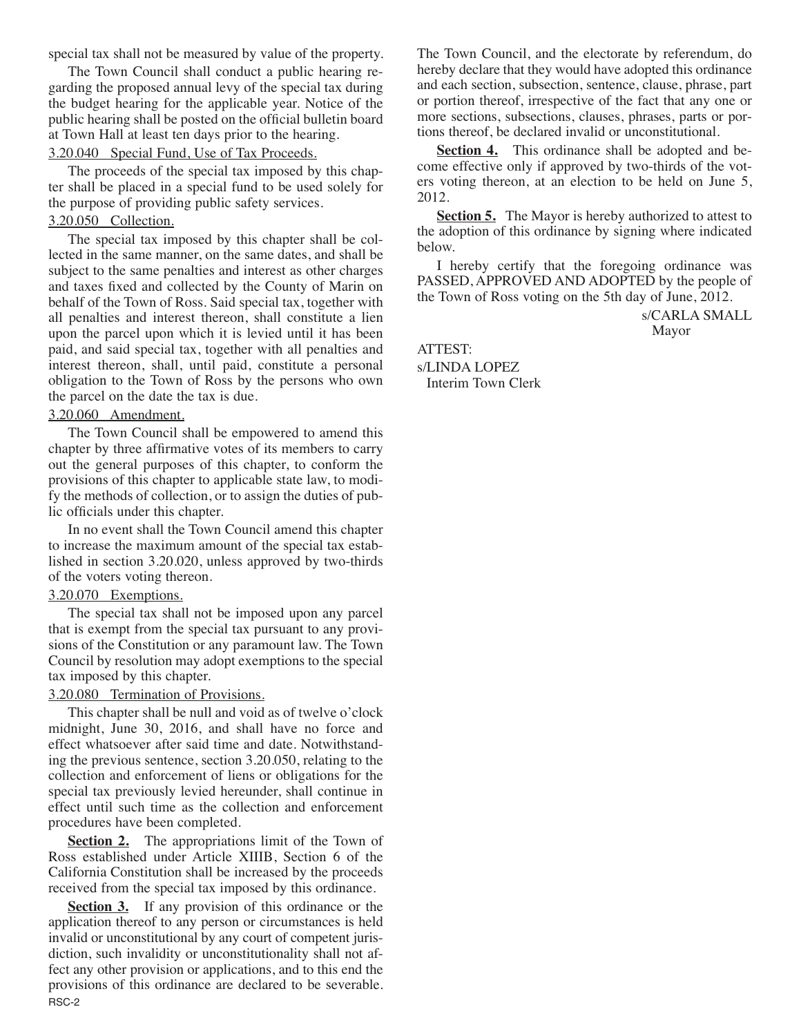special tax shall not be measured by value of the property.

The Town Council shall conduct a public hearing regarding the proposed annual levy of the special tax during the budget hearing for the applicable year. Notice of the public hearing shall be posted on the official bulletin board at Town Hall at least ten days prior to the hearing.

3.20.040 Special Fund, Use of Tax Proceeds.

The proceeds of the special tax imposed by this chapter shall be placed in a special fund to be used solely for the purpose of providing public safety services.

#### 3.20.050 Collection.

The special tax imposed by this chapter shall be collected in the same manner, on the same dates, and shall be subject to the same penalties and interest as other charges and taxes fixed and collected by the County of Marin on behalf of the Town of Ross. Said special tax, together with all penalties and interest thereon, shall constitute a lien upon the parcel upon which it is levied until it has been paid, and said special tax, together with all penalties and interest thereon, shall, until paid, constitute a personal obligation to the Town of Ross by the persons who own the parcel on the date the tax is due.

#### 3.20.060 Amendment.

The Town Council shall be empowered to amend this chapter by three affirmative votes of its members to carry out the general purposes of this chapter, to conform the provisions of this chapter to applicable state law, to modify the methods of collection, or to assign the duties of public officials under this chapter.

In no event shall the Town Council amend this chapter to increase the maximum amount of the special tax established in section 3.20.020, unless approved by two-thirds of the voters voting thereon.

#### 3.20.070 Exemptions.

The special tax shall not be imposed upon any parcel that is exempt from the special tax pursuant to any provisions of the Constitution or any paramount law. The Town Council by resolution may adopt exemptions to the special tax imposed by this chapter.

#### 3.20.080 Termination of Provisions.

This chapter shall be null and void as of twelve o'clock midnight, June 30, 2016, and shall have no force and effect whatsoever after said time and date. Notwithstanding the previous sentence, section 3.20.050, relating to the collection and enforcement of liens or obligations for the special tax previously levied hereunder, shall continue in effect until such time as the collection and enforcement procedures have been completed.

**Section 2.** The appropriations limit of the Town of Ross established under Article XIIIB, Section 6 of the California Constitution shall be increased by the proceeds received from the special tax imposed by this ordinance.

**Section 3.** If any provision of this ordinance or the application thereof to any person or circumstances is held invalid or unconstitutional by any court of competent jurisdiction, such invalidity or unconstitutionality shall not affect any other provision or applications, and to this end the provisions of this ordinance are declared to be severable. RSC-2

The Town Council, and the electorate by referendum, do hereby declare that they would have adopted this ordinance and each section, subsection, sentence, clause, phrase, part or portion thereof, irrespective of the fact that any one or more sections, subsections, clauses, phrases, parts or portions thereof, be declared invalid or unconstitutional.

Section 4. This ordinance shall be adopted and become effective only if approved by two-thirds of the voters voting thereon, at an election to be held on June 5, 2012.

**Section 5.** The Mayor is hereby authorized to attest to the adoption of this ordinance by signing where indicated below.

I hereby certify that the foregoing ordinance was PASSED, APPROVED AND ADOPTED by the people of the Town of Ross voting on the 5th day of June, 2012.

> s/CARLA SMALL Mayor

ATTEST: s/LINDA LOPEZ Interim Town Clerk